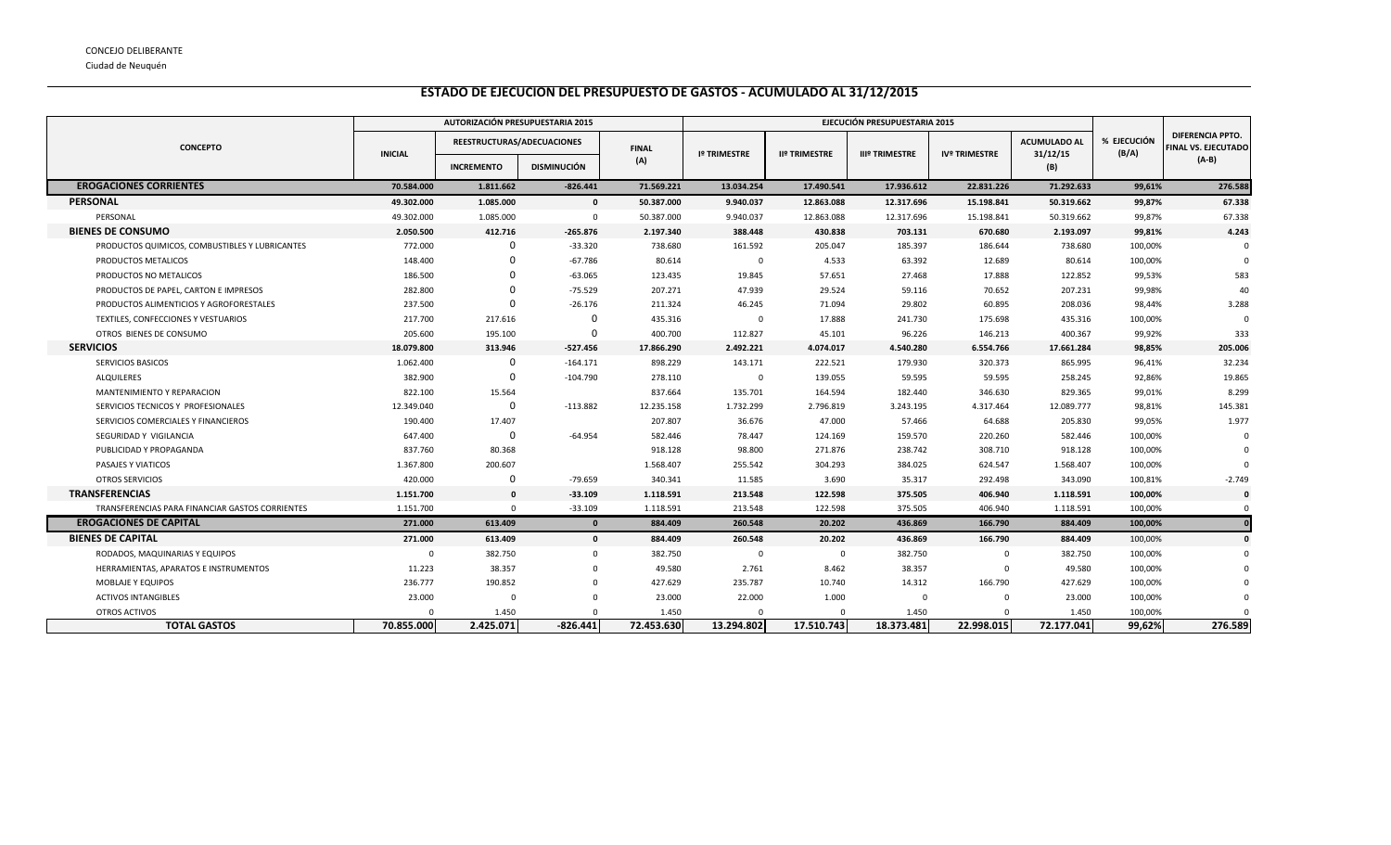Ciudad de Neuquén

## **ESTADO DE EJECUCION DEL PRESUPUESTO DE GASTOS - ACUMULADO AL 31/12/2015**

|                                                 | AUTORIZACIÓN PRESUPUESTARIA 2015 |                            |                    |              | EJECUCIÓN PRESUPUESTARIA 2015 |                      |                       |                      |                                 |                      |                                                |
|-------------------------------------------------|----------------------------------|----------------------------|--------------------|--------------|-------------------------------|----------------------|-----------------------|----------------------|---------------------------------|----------------------|------------------------------------------------|
| <b>CONCEPTO</b>                                 | <b>INICIAL</b>                   | REESTRUCTURAS/ADECUACIONES |                    | <b>FINAL</b> | <b>Iº TRIMESTRE</b>           | <b>IIº TRIMESTRE</b> | <b>IIIº TRIMESTRE</b> | <b>IVº TRIMESTRE</b> | <b>ACUMULADO AL</b><br>31/12/15 | % EJECUCIÓN<br>(B/A) | <b>DIFERENCIA PPTO.</b><br>FINAL VS. EJECUTADO |
|                                                 |                                  | <b>INCREMENTO</b>          | <b>DISMINUCIÓN</b> | (A)          |                               |                      |                       |                      | (B)                             |                      | (A-B)                                          |
| <b>EROGACIONES CORRIENTES</b>                   | 70.584.000                       | 1.811.662                  | $-826.441$         | 71.569.221   | 13.034.254                    | 17.490.541           | 17.936.612            | 22.831.226           | 71.292.633                      | 99,61%               | 276.588                                        |
| PERSONAL                                        | 49.302.000                       | 1.085.000                  | $\mathbf{0}$       | 50.387.000   | 9.940.037                     | 12.863.088           | 12.317.696            | 15.198.841           | 50.319.662                      | 99,87%               | 67.338                                         |
| PERSONAL                                        | 49.302.000                       | 1.085.000                  | $\Omega$           | 50.387.000   | 9.940.037                     | 12.863.088           | 12.317.696            | 15.198.841           | 50.319.662                      | 99,87%               | 67.338                                         |
| <b>BIENES DE CONSUMO</b>                        | 2.050.500                        | 412.716                    | $-265.876$         | 2.197.340    | 388.448                       | 430.838              | 703.131               | 670.680              | 2.193.097                       | 99,81%               | 4.243                                          |
| PRODUCTOS QUIMICOS, COMBUSTIBLES Y LUBRICANTES  | 772.000                          | 0                          | $-33.320$          | 738.680      | 161.592                       | 205.047              | 185.397               | 186.644              | 738.680                         | 100,00%              |                                                |
| PRODUCTOS METALICOS                             | 148.400                          | 0                          | $-67.786$          | 80.614       | $^{\circ}$                    | 4.533                | 63.392                | 12.689               | 80.614                          | 100,00%              |                                                |
| PRODUCTOS NO METALICOS                          | 186.500                          |                            | $-63.065$          | 123.435      | 19.845                        | 57.651               | 27.468                | 17.888               | 122.852                         | 99,53%               | 583                                            |
| PRODUCTOS DE PAPEL, CARTON E IMPRESOS           | 282.800                          | 0                          | $-75.529$          | 207.271      | 47.939                        | 29.524               | 59.116                | 70.652               | 207.231                         | 99,98%               | 40                                             |
| PRODUCTOS ALIMENTICIOS Y AGROFORESTALES         | 237.500                          | O                          | $-26.176$          | 211.324      | 46.245                        | 71.094               | 29.802                | 60.895               | 208.036                         | 98,44%               | 3.288                                          |
| TEXTILES, CONFECCIONES Y VESTUARIOS             | 217.700                          | 217.616                    | $\Omega$           | 435.316      | $^{\circ}$                    | 17.888               | 241.730               | 175.698              | 435.316                         | 100,00%              | $\Omega$                                       |
| OTROS BIENES DE CONSUMO                         | 205.600                          | 195.100                    | $\Omega$           | 400.700      | 112.827                       | 45.101               | 96.226                | 146.213              | 400.367                         | 99,92%               | 333                                            |
| <b>SERVICIOS</b>                                | 18.079.800                       | 313.946                    | $-527.456$         | 17.866.290   | 2.492.221                     | 4.074.017            | 4.540.280             | 6.554.766            | 17.661.284                      | 98,85%               | 205.006                                        |
| SERVICIOS BASICOS                               | 1.062.400                        | 0                          | $-164.171$         | 898.229      | 143.171                       | 222.521              | 179.930               | 320.373              | 865.995                         | 96,41%               | 32.234                                         |
| <b>ALQUILERES</b>                               | 382.900                          | 0                          | $-104.790$         | 278.110      | $^{\circ}$                    | 139.055              | 59.595                | 59.595               | 258.245                         | 92,86%               | 19.865                                         |
| MANTENIMIENTO Y REPARACION                      | 822.100                          | 15.564                     |                    | 837.664      | 135.701                       | 164.594              | 182.440               | 346.630              | 829.365                         | 99,01%               | 8.299                                          |
| SERVICIOS TECNICOS Y PROFESIONALES              | 12.349.040                       | 0                          | $-113.882$         | 12.235.158   | 1.732.299                     | 2.796.819            | 3.243.195             | 4.317.464            | 12.089.777                      | 98,81%               | 145.381                                        |
| SERVICIOS COMERCIALES Y FINANCIEROS             | 190.400                          | 17.407                     |                    | 207.807      | 36.676                        | 47.000               | 57.466                | 64.688               | 205.830                         | 99,05%               | 1.977                                          |
| SEGURIDAD Y VIGILANCIA                          | 647.400                          | $\Omega$                   | -64.954            | 582.446      | 78.447                        | 124.169              | 159.570               | 220.260              | 582.446                         | 100,00%              | $\Omega$                                       |
| PUBLICIDAD Y PROPAGANDA                         | 837.760                          | 80.368                     |                    | 918.128      | 98.800                        | 271.876              | 238.742               | 308.710              | 918.128                         | 100,00%              |                                                |
| PASAJES Y VIATICOS                              | 1.367.800                        | 200.607                    |                    | 1.568.407    | 255.542                       | 304.293              | 384.025               | 624.547              | 1.568.407                       | 100,00%              |                                                |
| <b>OTROS SERVICIOS</b>                          | 420.000                          | 0                          | $-79.659$          | 340.341      | 11.585                        | 3.690                | 35.317                | 292.498              | 343.090                         | 100,81%              | $-2.749$                                       |
| <b>TRANSFERENCIAS</b>                           | 1.151.700                        | $\mathbf{0}$               | $-33.109$          | 1.118.591    | 213.548                       | 122.598              | 375.505               | 406.940              | 1.118.591                       | 100,00%              | $\mathbf 0$                                    |
| TRANSFERENCIAS PARA FINANCIAR GASTOS CORRIENTES | 1.151.700                        | $\mathbf{0}$               | $-33.109$          | 1.118.591    | 213.548                       | 122.598              | 375.505               | 406.940              | 1.118.591                       | 100,00%              | $\Omega$                                       |
| <b>EROGACIONES DE CAPITAL</b>                   | 271.000                          | 613.409                    | $\mathbf{0}$       | 884.409      | 260.548                       | 20.202               | 436.869               | 166.790              | 884.409                         | 100,00%              |                                                |
| <b>BIENES DE CAPITAL</b>                        | 271.000                          | 613.409                    | $\mathbf{0}$       | 884.409      | 260.548                       | 20.202               | 436.869               | 166.790              | 884.409                         | 100,00%              |                                                |
| RODADOS, MAQUINARIAS Y EQUIPOS                  | $\Omega$                         | 382.750                    | $\Omega$           | 382.750      | $\mathbf 0$                   | $\mathbf 0$          | 382.750               | $\mathbf 0$          | 382.750                         | 100,00%              |                                                |
| HERRAMIENTAS, APARATOS E INSTRUMENTOS           | 11.223                           | 38.357                     | $\Omega$           | 49.580       | 2.761                         | 8.462                | 38.357                | $\Omega$             | 49.580                          | 100,00%              |                                                |
| <b>MOBLAJE Y EQUIPOS</b>                        | 236.777                          | 190.852                    |                    | 427.629      | 235.787                       | 10.740               | 14.312                | 166.790              | 427.629                         | 100,00%              |                                                |
| <b>ACTIVOS INTANGIBLES</b>                      | 23.000                           | $\mathbf 0$                |                    | 23.000       | 22.000                        | 1.000                | $\Omega$              | $\Omega$             | 23.000                          | 100,00%              |                                                |
| OTROS ACTIVOS                                   |                                  | 1.450                      |                    | 1.450        |                               | $\Omega$             | 1.450                 |                      | 1.450                           | 100,00%              |                                                |
| <b>TOTAL GASTOS</b>                             | 70.855.000                       | 2.425.071                  | $-826.441$         | 72.453.630   | 13.294.802                    | 17.510.743           | 18.373.481            | 22.998.015           | 72.177.041                      | 99,62%               | 276.589                                        |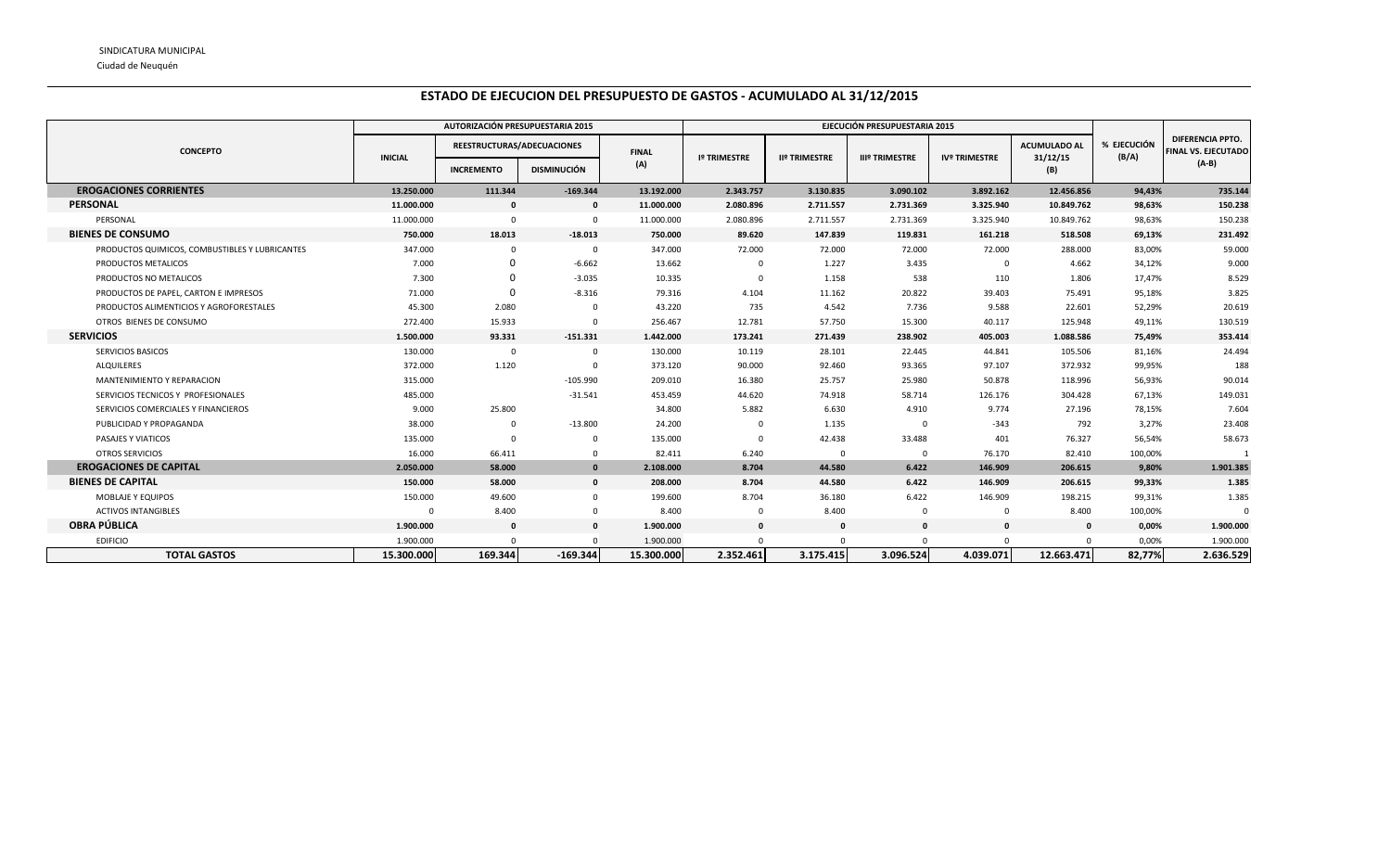Ciudad de Neuquén

## **ESTADO DE EJECUCION DEL PRESUPUESTO DE GASTOS - ACUMULADO AL 31/12/2015**

|                                                |                | AUTORIZACIÓN PRESUPUESTARIA 2015 |                    |              | EJECUCIÓN PRESUPUESTARIA 2015 |                      |                       |                      |                     |                      |                                                |
|------------------------------------------------|----------------|----------------------------------|--------------------|--------------|-------------------------------|----------------------|-----------------------|----------------------|---------------------|----------------------|------------------------------------------------|
| <b>CONCEPTO</b>                                | <b>INICIAL</b> | REESTRUCTURAS/ADECUACIONES       |                    | <b>FINAL</b> | <b>Iº TRIMESTRE</b>           | <b>IIº TRIMESTRE</b> | <b>IIIº TRIMESTRE</b> | <b>IVº TRIMESTRE</b> | <b>ACUMULADO AL</b> | % EJECUCIÓN<br>(B/A) | DIFERENCIA PPTO.<br><b>FINAL VS. EJECUTADO</b> |
|                                                |                | <b>INCREMENTO</b>                | <b>DISMINUCIÓN</b> | (A)          |                               |                      |                       |                      | 31/12/15<br>(B)     |                      | $(A-B)$                                        |
| <b>EROGACIONES CORRIENTES</b>                  | 13.250.000     | 111.344                          | $-169.344$         | 13.192.000   | 2.343.757                     | 3.130.835            | 3.090.102             | 3.892.162            | 12.456.856          | 94,43%               | 735.144                                        |
| <b>PERSONAL</b>                                | 11.000.000     | $\mathbf{0}$                     | $\mathbf{0}$       | 11.000.000   | 2.080.896                     | 2.711.557            | 2.731.369             | 3.325.940            | 10.849.762          | 98,63%               | 150.238                                        |
| PERSONAL                                       | 11.000.000     | $\Omega$                         | $\Omega$           | 11.000.000   | 2.080.896                     | 2.711.557            | 2.731.369             | 3.325.940            | 10.849.762          | 98,63%               | 150.238                                        |
| <b>BIENES DE CONSUMO</b>                       | 750.000        | 18.013                           | $-18.013$          | 750.000      | 89.620                        | 147.839              | 119.831               | 161.218              | 518.508             | 69,13%               | 231.492                                        |
| PRODUCTOS QUIMICOS, COMBUSTIBLES Y LUBRICANTES | 347.000        | $\Omega$                         |                    | 347.000      | 72.000                        | 72.000               | 72.000                | 72.000               | 288.000             | 83,00%               | 59.000                                         |
| PRODUCTOS METALICOS                            | 7.000          | $\Omega$                         | $-6.662$           | 13.662       | $\Omega$                      | 1.227                | 3.435                 | $\mathbf{0}$         | 4.662               | 34,12%               | 9.000                                          |
| PRODUCTOS NO METALICOS                         | 7.300          |                                  | $-3.035$           | 10.335       | $\overline{0}$                | 1.158                | 538                   | 110                  | 1.806               | 17,47%               | 8.529                                          |
| PRODUCTOS DE PAPEL, CARTON E IMPRESOS          | 71.000         | $\Omega$                         | $-8.316$           | 79.316       | 4.104                         | 11.162               | 20.822                | 39.403               | 75.491              | 95,18%               | 3.825                                          |
| PRODUCTOS ALIMENTICIOS Y AGROFORESTALES        | 45.300         | 2.080                            |                    | 43.220       | 735                           | 4.542                | 7.736                 | 9.588                | 22.601              | 52,29%               | 20.619                                         |
| OTROS BIENES DE CONSUMO                        | 272.400        | 15.933                           |                    | 256.467      | 12.781                        | 57.750               | 15.300                | 40.117               | 125.948             | 49,11%               | 130.519                                        |
| <b>SERVICIOS</b>                               | 1.500.000      | 93.331                           | $-151.331$         | 1.442.000    | 173.241                       | 271.439              | 238.902               | 405.003              | 1.088.586           | 75,49%               | 353.414                                        |
| SERVICIOS BASICOS                              | 130.000        | $\mathbf 0$                      |                    | 130.000      | 10.119                        | 28.101               | 22.445                | 44.841               | 105.506             | 81,16%               | 24.494                                         |
| <b>ALQUILERES</b>                              | 372.000        | 1.120                            |                    | 373.120      | 90.000                        | 92.460               | 93.365                | 97.107               | 372.932             | 99,95%               | 188                                            |
| MANTENIMIENTO Y REPARACION                     | 315.000        |                                  | $-105.990$         | 209.010      | 16.380                        | 25.757               | 25.980                | 50.878               | 118.996             | 56,93%               | 90.014                                         |
| SERVICIOS TECNICOS Y PROFESIONALES             | 485.000        |                                  | $-31.541$          | 453.459      | 44.620                        | 74.918               | 58.714                | 126.176              | 304.428             | 67,13%               | 149.031                                        |
| SERVICIOS COMERCIALES Y FINANCIEROS            | 9.000          | 25.800                           |                    | 34.800       | 5.882                         | 6.630                | 4.910                 | 9.774                | 27.196              | 78,15%               | 7.604                                          |
| PUBLICIDAD Y PROPAGANDA                        | 38.000         | $\Omega$                         | $-13.800$          | 24.200       | $\Omega$                      | 1.135                | $\Omega$              | $-343$               | 792                 | 3,27%                | 23.408                                         |
| PASAJES Y VIATICOS                             | 135.000        | $\Omega$                         |                    | 135.000      | $\Omega$                      | 42.438               | 33.488                | 401                  | 76.327              | 56,54%               | 58.673                                         |
| <b>OTROS SERVICIOS</b>                         | 16.000         | 66.411                           |                    | 82.411       | 6.240                         | $\mathbf 0$          | $\Omega$              | 76.170               | 82.410              | 100,00%              |                                                |
| <b>EROGACIONES DE CAPITAL</b>                  | 2.050.000      | 58.000                           | $\mathbf{0}$       | 2.108.000    | 8.704                         | 44.580               | 6.422                 | 146.909              | 206.615             | 9,80%                | 1.901.385                                      |
| <b>BIENES DE CAPITAL</b>                       | 150.000        | 58.000                           | $\mathbf{0}$       | 208.000      | 8.704                         | 44.580               | 6.422                 | 146.909              | 206.615             | 99,33%               | 1.385                                          |
| MOBLAJE Y EQUIPOS                              | 150.000        | 49.600                           | $\Omega$           | 199.600      | 8.704                         | 36.180               | 6.422                 | 146.909              | 198.215             | 99,31%               | 1.385                                          |
| <b>ACTIVOS INTANGIBLES</b>                     | $\Omega$       | 8.400                            | $\Omega$           | 8.400        | $\mathbf 0$                   | 8.400                | $\mathbf 0$           | $\mathbf 0$          | 8.400               | 100,00%              |                                                |
| <b>OBRA PÚBLICA</b>                            | 1.900.000      | $\mathbf{0}$                     | $\mathbf{0}$       | 1.900.000    | $\mathbf 0$                   | $\mathbf{0}$         | $\mathbf 0$           | $\mathbf 0$          | $\mathbf{0}$        | 0,00%                | 1.900.000                                      |
| <b>EDIFICIO</b>                                | 1.900.000      |                                  |                    | 1.900.000    | $\Omega$                      | $\Omega$             | $\Omega$              | $\Omega$             | $\Omega$            | 0,00%                | 1.900.000                                      |
| <b>TOTAL GASTOS</b>                            | 15.300.000     | 169.344                          | $-169.344$         | 15.300.000   | 2.352.461                     | 3.175.415            | 3.096.524             | 4.039.071            | 12.663.471          | 82,77%               | 2.636.529                                      |